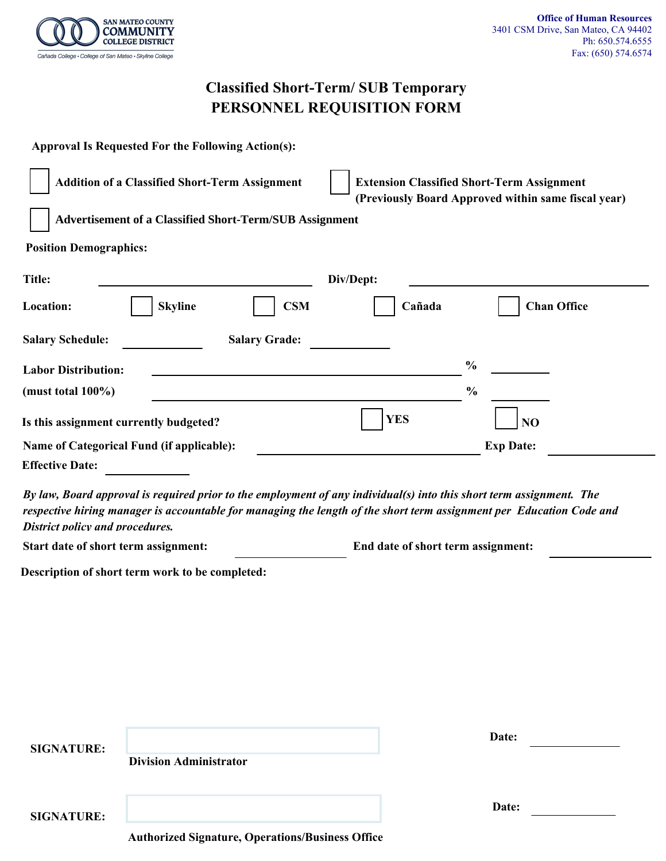

# **Classified Short-Term/ SUB Temporary PERSONNEL REQUISITION FORM**

| <b>Approval Is Requested For the Following Action(s):</b> |                      |                                                                                                          |                    |
|-----------------------------------------------------------|----------------------|----------------------------------------------------------------------------------------------------------|--------------------|
| <b>Addition of a Classified Short-Term Assignment</b>     |                      | <b>Extension Classified Short-Term Assignment</b><br>(Previously Board Approved within same fiscal year) |                    |
| Advertisement of a Classified Short-Term/SUB Assignment   |                      |                                                                                                          |                    |
| <b>Position Demographics:</b>                             |                      |                                                                                                          |                    |
| Title:                                                    |                      | Div/Dept:                                                                                                |                    |
| <b>Skyline</b><br>Location:                               | <b>CSM</b>           | Cañada                                                                                                   | <b>Chan Office</b> |
| <b>Salary Schedule:</b>                                   | <b>Salary Grade:</b> |                                                                                                          |                    |
| <b>Labor Distribution:</b>                                |                      |                                                                                                          | $\frac{0}{0}$      |
| (must total $100\%$ )                                     |                      |                                                                                                          | $\frac{0}{0}$      |
| Is this assignment currently budgeted?                    |                      | <b>YES</b>                                                                                               | N <sub>O</sub>     |
| Name of Categorical Fund (if applicable):                 |                      |                                                                                                          | <b>Exp Date:</b>   |
| <b>Effective Date:</b>                                    |                      |                                                                                                          |                    |

*By law, Board approval is required prior to the employment of any individual(s) into this short term assignment. The respective hiring manager is accountable for managing the length of the short term assignment per Education Code and District policy and procedures.*

**Start date of short term assignment: End date of short term assignment:**

**Description of short term work to be completed:**

| <b>SIGNATURE:</b> | <b>Division Administrator</b>                           | Date: |  |
|-------------------|---------------------------------------------------------|-------|--|
| <b>SIGNATURE:</b> | <b>Authorized Signature, Operations/Business Office</b> | Date: |  |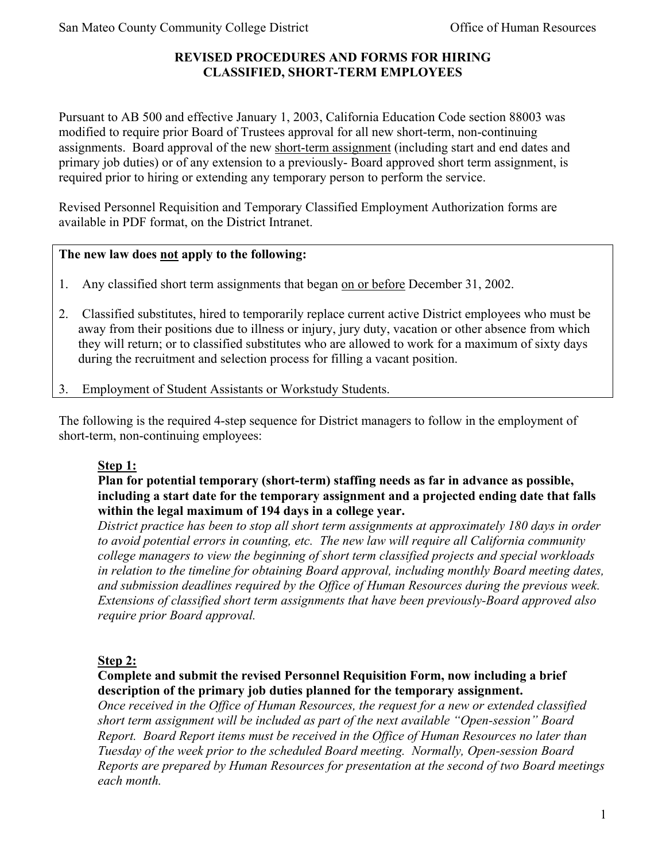# **REVISED PROCEDURES AND FORMS FOR HIRING CLASSIFIED, SHORT-TERM EMPLOYEES**

Pursuant to AB 500 and effective January 1, 2003, California Education Code section 88003 was modified to require prior Board of Trustees approval for all new short-term, non-continuing assignments. Board approval of the new short-term assignment (including start and end dates and primary job duties) or of any extension to a previously- Board approved short term assignment, is required prior to hiring or extending any temporary person to perform the service.

Revised Personnel Requisition and Temporary Classified Employment Authorization forms are available in PDF format, on the District Intranet.

# **The new law does not apply to the following:**

- 1. Any classified short term assignments that began on or before December 31, 2002.
- 2. Classified substitutes, hired to temporarily replace current active District employees who must be away from their positions due to illness or injury, jury duty, vacation or other absence from which they will return; or to classified substitutes who are allowed to work for a maximum of sixty days during the recruitment and selection process for filling a vacant position.
- 3. Employment of Student Assistants or Workstudy Students.

The following is the required 4-step sequence for District managers to follow in the employment of short-term, non-continuing employees:

# **Step 1:**

#### **Plan for potential temporary (short-term) staffing needs as far in advance as possible, including a start date for the temporary assignment and a projected ending date that falls within the legal maximum of 194 days in a college year.**

*District practice has been to stop all short term assignments at approximately 180 days in order to avoid potential errors in counting, etc. The new law will require all California community college managers to view the beginning of short term classified projects and special workloads in relation to the timeline for obtaining Board approval, including monthly Board meeting dates, and submission deadlines required by the Office of Human Resources during the previous week. Extensions of classified short term assignments that have been previously-Board approved also require prior Board approval.* 

## **Step 2:**

## **Complete and submit the revised Personnel Requisition Form, now including a brief description of the primary job duties planned for the temporary assignment.**

*Once received in the Office of Human Resources, the request for a new or extended classified short term assignment will be included as part of the next available "Open-session" Board Report. Board Report items must be received in the Office of Human Resources no later than Tuesday of the week prior to the scheduled Board meeting. Normally, Open-session Board Reports are prepared by Human Resources for presentation at the second of two Board meetings each month.*